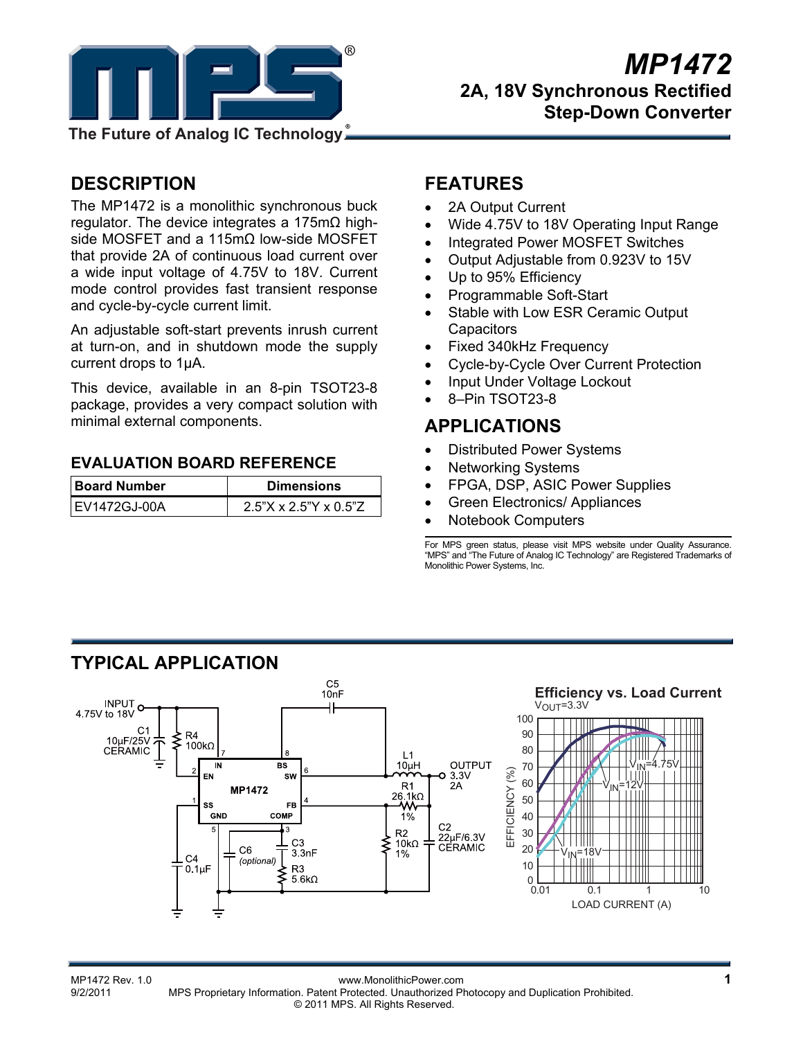

**The Future of Analog IC Technology**

# **DESCRIPTION**

The MP1472 is a monolithic synchronous buck regulator. The device integrates a 175mΩ highside MOSFET and a 115mΩ low-side MOSFET that provide 2A of continuous load current over a wide input voltage of 4.75V to 18V. Current mode control provides fast transient response and cycle-by-cycle current limit.

An adjustable soft-start prevents inrush current at turn-on, and in shutdown mode the supply current drops to 1µA.

This device, available in an 8-pin TSOT23-8 package, provides a very compact solution with minimal external components.

### **EVALUATION BOARD REFERENCE**

| <b>Board Number</b> | <b>Dimensions</b>        |  |  |
|---------------------|--------------------------|--|--|
| IEV1472GJ-00A       | $2.5$ "X x 2.5"Y x 0.5"Z |  |  |

### **FEATURES**

- 2A Output Current
- Wide 4.75V to 18V Operating Input Range
- Integrated Power MOSFET Switches
- Output Adjustable from 0.923V to 15V
- Up to 95% Efficiency
- Programmable Soft-Start
- Stable with Low ESR Ceramic Output **Capacitors**
- Fixed 340kHz Frequency
- Cycle-by-Cycle Over Current Protection
- Input Under Voltage Lockout
- 8–Pin TSOT23-8

# **APPLICATIONS**

- Distributed Power Systems
- Networking Systems
- FPGA, DSP, ASIC Power Supplies
- Green Electronics/ Appliances
- Notebook Computers

For MPS green status, please visit MPS website under Quality Assurance. "MPS" and "The Future of Analog IC Technology" are Registered Trademarks of Monolithic Power Systems, Inc.

### **TYPICAL APPLICATION**



MP1472 Rev. 1.0<br>9/2/2011 MPS Proprietary Information Patent Protected Unauthorized Photocopy and Duplication Prohibited MPS Proprietary Information. Patent Protected. Unauthorized Photocopy and Duplication Prohibited. © 2011 MPS. All Rights Reserved.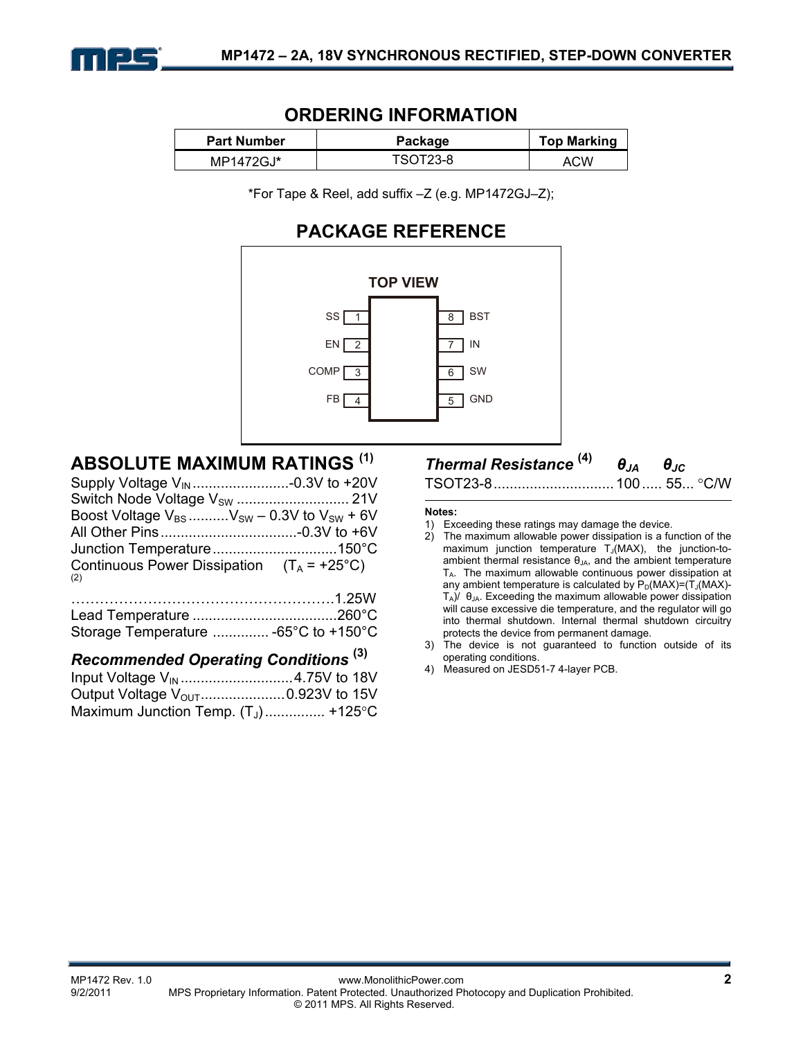

### **ORDERING INFORMATION**

| <b>Part Number</b> | Package  | <b>Top Marking</b> |
|--------------------|----------|--------------------|
| MP1472GJ*          | TSOT23-8 | ACW                |

\*For Tape & Reel, add suffix –Z (e.g. MP1472GJ–Z);

### **PACKAGE REFERENCE**



# **ABSOLUTE MAXIMUM RATINGS (1)**

| Boost Voltage $V_{BS}$ $V_{SW}$ – 0.3V to $V_{SW}$ + 6V    |  |
|------------------------------------------------------------|--|
|                                                            |  |
|                                                            |  |
| Continuous Power Dissipation $(T_A = +25^{\circ}C)$<br>(2) |  |

### *Recommended Operating Conditions* **(3)**

| Output Voltage V <sub>OUT</sub> 0.923V to 15V |  |
|-----------------------------------------------|--|
| Maximum Junction Temp. $(T_1)$ +125°C         |  |

# *Thermal Resistance* **(4)** *θJA θJC*

```
TSOT23-8 .............................. 100 ..... 55 ... C/W
```
#### **Notes:**

- 1) Exceeding these ratings may damage the device.
- 2) The maximum allowable power dissipation is a function of the maximum junction temperature  $T_J(MAX)$ , the junction-toambient thermal resistance  $\theta_{JA}$ , and the ambient temperature TA. The maximum allowable continuous power dissipation at any ambient temperature is calculated by  $P_D(MAX)=(T_J(MAX)-T_J(MAX)-T_J(MAX)-T_J(MAX)-T_J(MAX)$  $T_A$ )/  $\theta_{JA}$ . Exceeding the maximum allowable power dissipation will cause excessive die temperature, and the regulator will go into thermal shutdown. Internal thermal shutdown circuitry protects the device from permanent damage.
- 3) The device is not guaranteed to function outside of its operating conditions.
- 4) Measured on JESD51-7 4-layer PCB.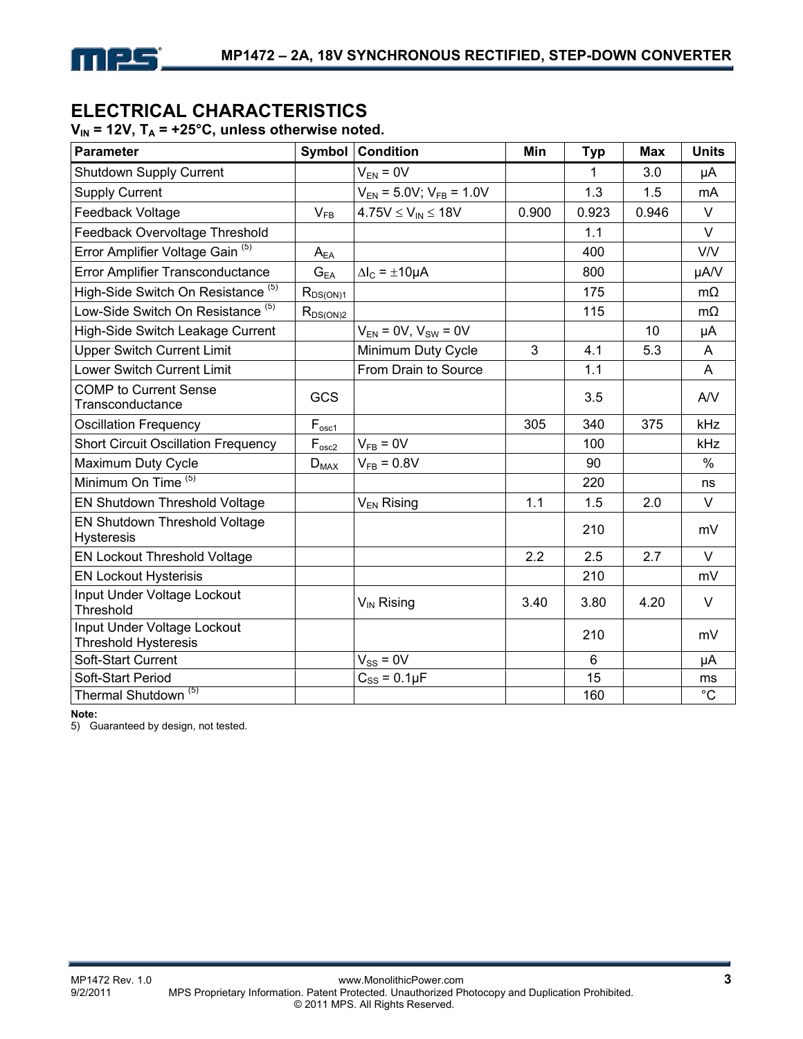

### **ELECTRICAL CHARACTERISTICS**

 $V_{IN}$  = 12V,  $T_A$  = +25°C, unless otherwise noted.

| <b>Parameter</b>                                                  | <b>Symbol</b>  | <b>Condition</b>                 | Min   | <b>Typ</b> | Max   | <b>Units</b>  |
|-------------------------------------------------------------------|----------------|----------------------------------|-------|------------|-------|---------------|
| <b>Shutdown Supply Current</b>                                    |                | $V_{EN} = 0V$                    |       | 1          | 3.0   | μA            |
| <b>Supply Current</b>                                             |                | $V_{EN}$ = 5.0V; $V_{FB}$ = 1.0V |       | 1.3        | 1.5   | mA            |
| Feedback Voltage                                                  | $V_{FB}$       | $4.75V \le V_{IN} \le 18V$       | 0.900 | 0.923      | 0.946 | $\vee$        |
| Feedback Overvoltage Threshold                                    |                |                                  |       | 1.1        |       | $\vee$        |
| Error Amplifier Voltage Gain <sup>(5)</sup>                       | $A_{EA}$       |                                  |       | 400        |       | <b>V/V</b>    |
| Error Amplifier Transconductance                                  | $G_{EA}$       | $\Delta I_C = \pm 10 \mu A$      |       | 800        |       | µA/V          |
| High-Side Switch On Resistance (5)                                | $R_{DS(ON)1}$  |                                  |       | 175        |       | $m\Omega$     |
| Low-Side Switch On Resistance <sup>(5)</sup>                      | $R_{DS(ON)2}$  |                                  |       | 115        |       | $m\Omega$     |
| High-Side Switch Leakage Current                                  |                | $V_{EN} = 0V$ , $V_{SW} = 0V$    |       |            | 10    | μA            |
| <b>Upper Switch Current Limit</b>                                 |                | Minimum Duty Cycle               | 3     | 4.1        | 5.3   | A             |
| <b>Lower Switch Current Limit</b>                                 |                | From Drain to Source             |       | 1.1        |       | A             |
| <b>COMP to Current Sense</b><br>Transconductance                  | <b>GCS</b>     |                                  |       | 3.5        |       | AV            |
| <b>Oscillation Frequency</b>                                      | $F_{osc1}$     |                                  | 305   | 340        | 375   | kHz           |
| <b>Short Circuit Oscillation Frequency</b>                        | $F_{\rm osc2}$ | $V_{FB} = 0V$                    |       | 100        |       | kHz           |
| Maximum Duty Cycle                                                | $D_{MAX}$      | $V_{FB} = 0.8V$                  |       | 90         |       | $\frac{0}{0}$ |
| Minimum On Time <sup>(5)</sup>                                    |                |                                  |       | 220        |       | ns            |
| EN Shutdown Threshold Voltage                                     |                | $V_{EN}$ Rising                  | 1.1   | 1.5        | 2.0   | $\vee$        |
| EN Shutdown Threshold Voltage<br><b>Hysteresis</b>                |                |                                  |       | 210        |       | mV            |
| <b>EN Lockout Threshold Voltage</b>                               |                |                                  | 2.2   | 2.5        | 2.7   | $\vee$        |
| <b>EN Lockout Hysterisis</b>                                      |                |                                  |       | 210        |       | mV            |
| Input Under Voltage Lockout<br>Threshold                          |                | $V_{\text{IN}}$ Rising           | 3.40  | 3.80       | 4.20  | $\vee$        |
| <b>Input Under Voltage Lockout</b><br><b>Threshold Hysteresis</b> |                |                                  |       | 210        |       | mV            |
| Soft-Start Current                                                |                | $V_{SS} = 0V$                    |       | 6          |       | μA            |
| Soft-Start Period                                                 |                | $C_{SS} = 0.1 \mu F$             |       | 15         |       | ms            |
| Thermal Shutdown <sup>(5)</sup>                                   |                |                                  |       | 160        |       | $^{\circ}C$   |

**Note:** 

5) Guaranteed by design, not tested.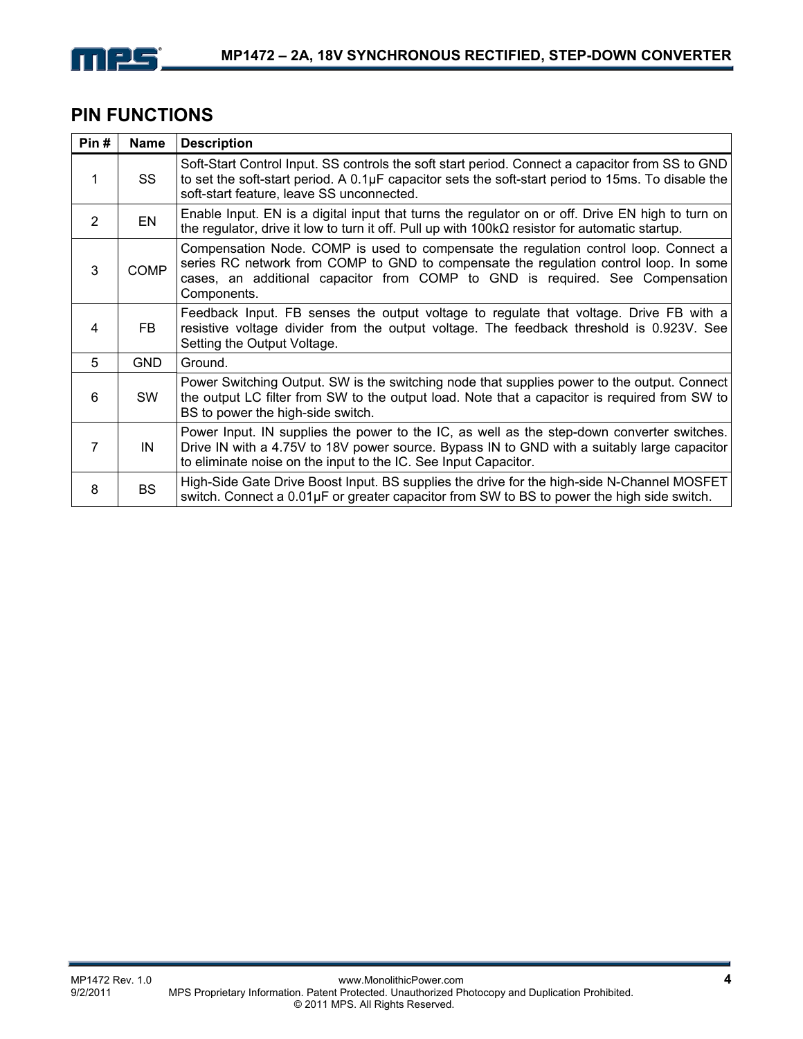

### **PIN FUNCTIONS**

| Pin#           | <b>Name</b> | <b>Description</b>                                                                                                                                                                                                                                                            |
|----------------|-------------|-------------------------------------------------------------------------------------------------------------------------------------------------------------------------------------------------------------------------------------------------------------------------------|
| 1              | SS          | Soft-Start Control Input. SS controls the soft start period. Connect a capacitor from SS to GND<br>to set the soft-start period. A $0.1\mu$ F capacitor sets the soft-start period to 15ms. To disable the<br>soft-start feature, leave SS unconnected.                       |
| $\overline{2}$ | EN          | Enable Input. EN is a digital input that turns the regulator on or off. Drive EN high to turn on<br>the regulator, drive it low to turn it off. Pull up with $100k\Omega$ resistor for automatic startup.                                                                     |
| 3              | <b>COMP</b> | Compensation Node. COMP is used to compensate the regulation control loop. Connect a<br>series RC network from COMP to GND to compensate the regulation control loop. In some<br>cases, an additional capacitor from COMP to GND is required. See Compensation<br>Components. |
| 4              | FB.         | Feedback Input. FB senses the output voltage to regulate that voltage. Drive FB with a<br>resistive voltage divider from the output voltage. The feedback threshold is 0.923V. See<br>Setting the Output Voltage.                                                             |
| 5              | <b>GND</b>  | Ground.                                                                                                                                                                                                                                                                       |
| 6              | <b>SW</b>   | Power Switching Output. SW is the switching node that supplies power to the output. Connect<br>the output LC filter from SW to the output load. Note that a capacitor is required from SW to<br>BS to power the high-side switch.                                             |
| 7              | IN          | Power Input. IN supplies the power to the IC, as well as the step-down converter switches.<br>Drive IN with a 4.75V to 18V power source. Bypass IN to GND with a suitably large capacitor<br>to eliminate noise on the input to the IC. See Input Capacitor.                  |
| 8              | <b>BS</b>   | High-Side Gate Drive Boost Input. BS supplies the drive for the high-side N-Channel MOSFET<br>switch. Connect a 0.01µF or greater capacitor from SW to BS to power the high side switch.                                                                                      |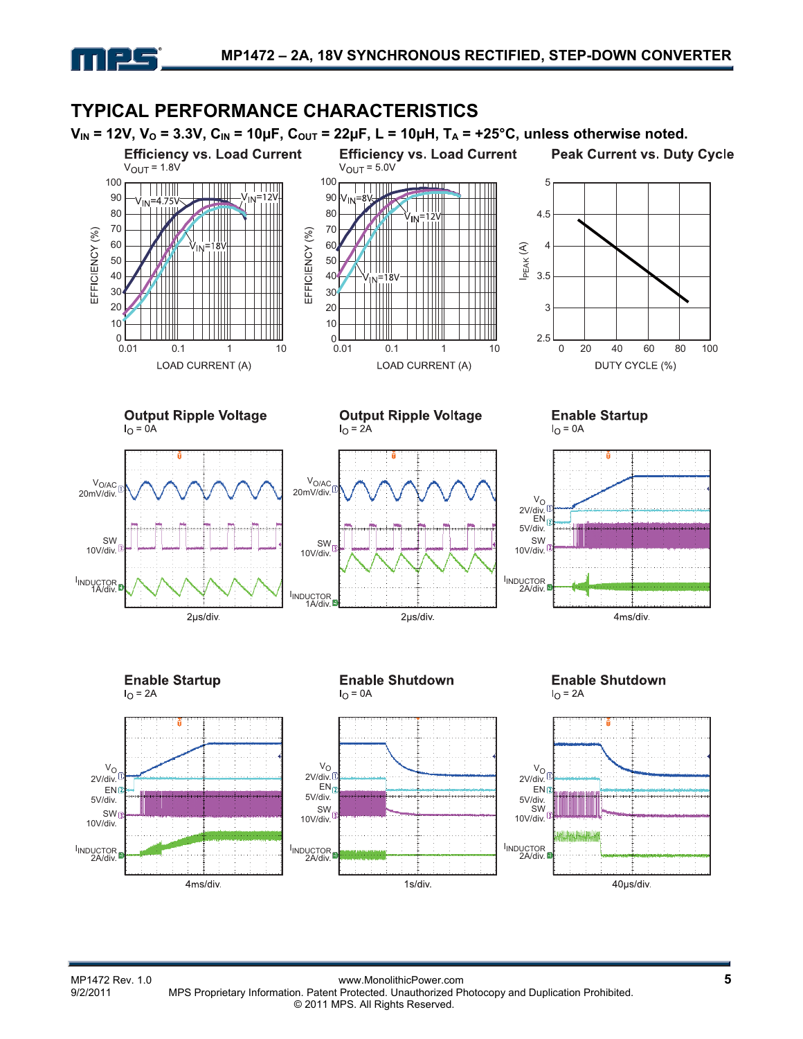

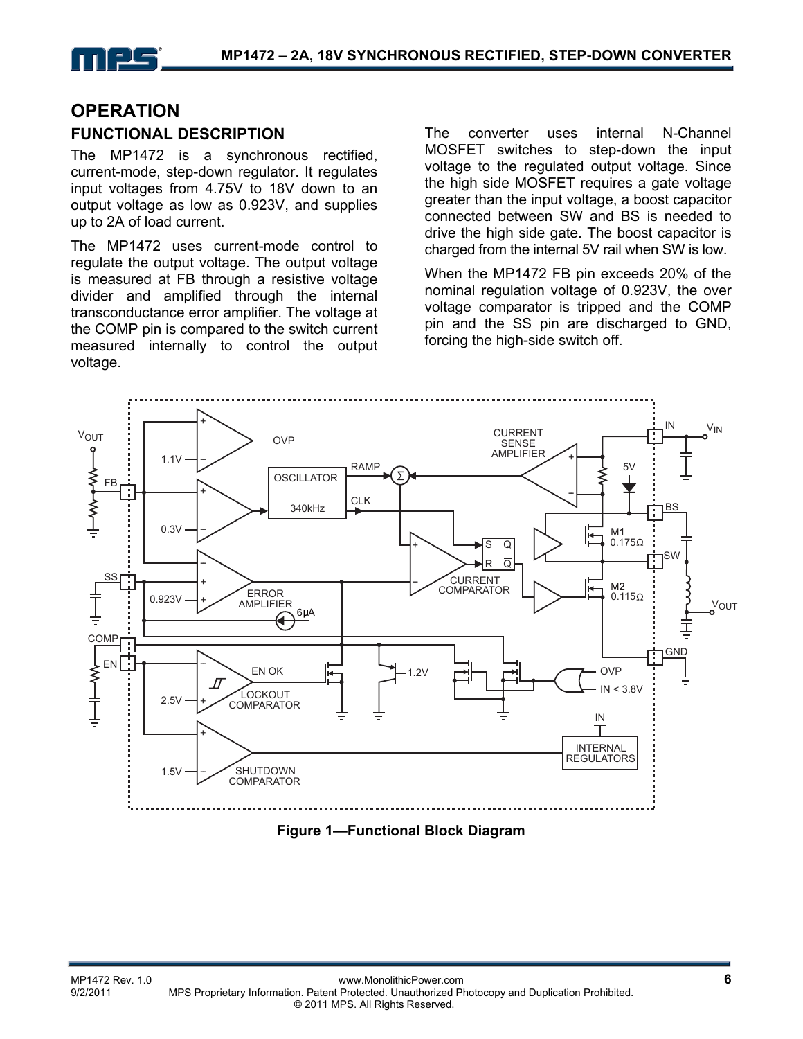

### **OPERATION**

#### **FUNCTIONAL DESCRIPTION**

The MP1472 is a synchronous rectified, current-mode, step-down regulator. It regulates input voltages from 4.75V to 18V down to an output voltage as low as 0.923V, and supplies up to 2A of load current.

The MP1472 uses current-mode control to regulate the output voltage. The output voltage is measured at FB through a resistive voltage divider and amplified through the internal transconductance error amplifier. The voltage at the COMP pin is compared to the switch current measured internally to control the output voltage.

The converter uses internal N-Channel MOSFET switches to step-down the input voltage to the regulated output voltage. Since the high side MOSFET requires a gate voltage greater than the input voltage, a boost capacitor connected between SW and BS is needed to drive the high side gate. The boost capacitor is charged from the internal 5V rail when SW is low.

When the MP1472 FB pin exceeds 20% of the nominal regulation voltage of 0.923V, the over voltage comparator is tripped and the COMP pin and the SS pin are discharged to GND, forcing the high-side switch off.



**Figure 1—Functional Block Diagram**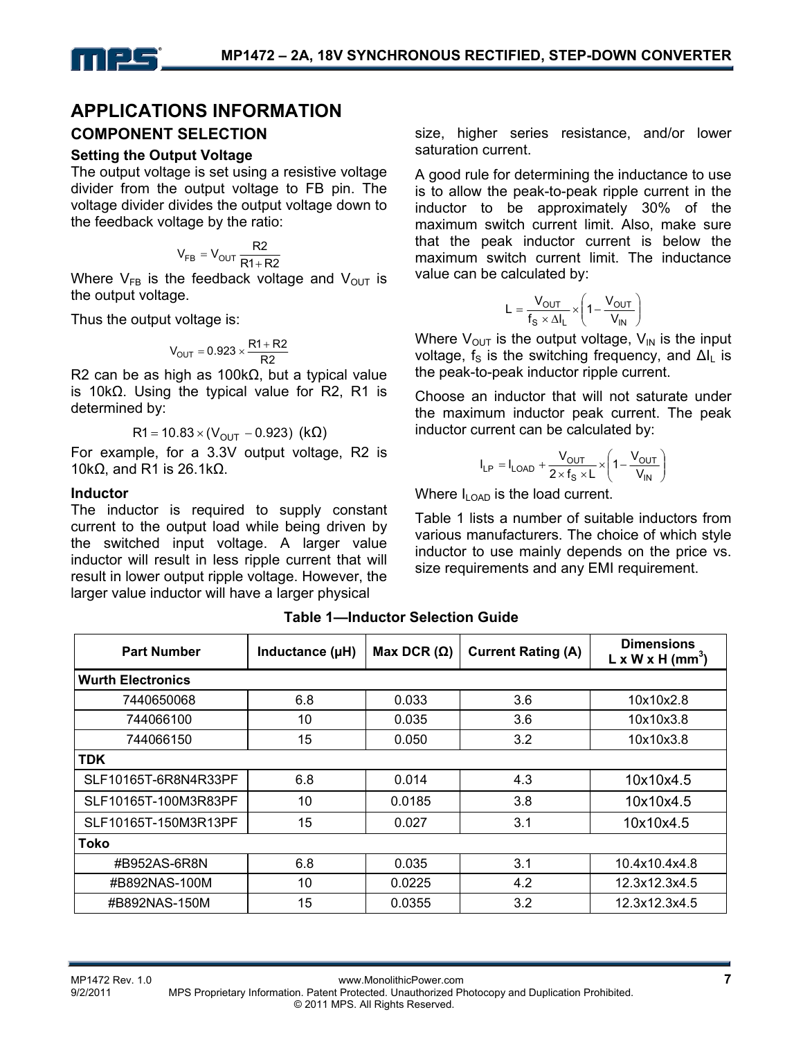

### **APPLICATIONS INFORMATION COMPONENT SELECTION**

### **Setting the Output Voltage**

The output voltage is set using a resistive voltage divider from the output voltage to FB pin. The voltage divider divides the output voltage down to the feedback voltage by the ratio:

$$
V_{FB} = V_{OUT} \frac{R2}{R1 + R2}
$$

Where  $V_{FB}$  is the feedback voltage and  $V_{OUT}$  is the output voltage.

Thus the output voltage is:

$$
V_{OUT} = 0.923 \times \frac{R1 + R2}{R2}
$$

R2 can be as high as 100kΩ, but a typical value is 10kΩ. Using the typical value for R2, R1 is determined by:

$$
R1 = 10.83 \times (V_{OUT} - 0.923) (k\Omega)
$$

For example, for a 3.3V output voltage, R2 is 10kΩ, and R1 is 26.1kΩ.

#### **Inductor**

The inductor is required to supply constant current to the output load while being driven by the switched input voltage. A larger value inductor will result in less ripple current that will result in lower output ripple voltage. However, the larger value inductor will have a larger physical

size, higher series resistance, and/or lower saturation current.

A good rule for determining the inductance to use is to allow the peak-to-peak ripple current in the inductor to be approximately 30% of the maximum switch current limit. Also, make sure that the peak inductor current is below the maximum switch current limit. The inductance value can be calculated by:

$$
L = \frac{V_{OUT}}{f_S \times \Delta I_L} \times \left(1 - \frac{V_{OUT}}{V_{IN}}\right)
$$

Where  $V_{OUT}$  is the output voltage,  $V_{IN}$  is the input voltage,  $f_s$  is the switching frequency, and  $\Delta I_l$  is the peak-to-peak inductor ripple current.

Choose an inductor that will not saturate under the maximum inductor peak current. The peak inductor current can be calculated by:

$$
I_{LP} = I_{LOAD} + \frac{V_{OUT}}{2 \times f_S \times L} \times \left(1 - \frac{V_{OUT}}{V_{IN}}\right)
$$

Where  $I_{\text{LOAD}}$  is the load current.

Table 1 lists a number of suitable inductors from various manufacturers. The choice of which style inductor to use mainly depends on the price vs. size requirements and any EMI requirement.

| <b>Part Number</b>       | Inductance (µH) | Max DCR $(\Omega)$ | <b>Current Rating (A)</b> | <b>Dimensions</b><br>$L \times W \times H$ (mm <sup>3</sup> ) |  |  |
|--------------------------|-----------------|--------------------|---------------------------|---------------------------------------------------------------|--|--|
| <b>Wurth Electronics</b> |                 |                    |                           |                                                               |  |  |
| 7440650068               | 6.8             | 0.033              | 3.6                       | 10x10x2.8                                                     |  |  |
| 744066100                | 10              | 0.035              | 3.6                       | 10x10x3.8                                                     |  |  |
| 744066150                | 15              | 0.050              | 3.2                       | 10x10x3.8                                                     |  |  |
| <b>TDK</b>               |                 |                    |                           |                                                               |  |  |
| SLF10165T-6R8N4R33PF     | 6.8             | 0.014              | 4.3                       | 10x10x4.5                                                     |  |  |
| SLF10165T-100M3R83PF     | 10              | 0.0185             | 3.8                       | 10x10x4.5                                                     |  |  |
| SLF10165T-150M3R13PF     | 15              | 0.027              | 3.1                       | 10x10x4.5                                                     |  |  |
| <b>Toko</b>              |                 |                    |                           |                                                               |  |  |
| #B952AS-6R8N             | 6.8             | 0.035              | 3.1                       | 10.4x10.4x4.8                                                 |  |  |
| #B892NAS-100M            | 10              | 0.0225             | 4.2                       | 12.3x12.3x4.5                                                 |  |  |
| #B892NAS-150M            | 15              | 0.0355             | 3.2                       | 12.3x12.3x4.5                                                 |  |  |

#### **Table 1—Inductor Selection Guide**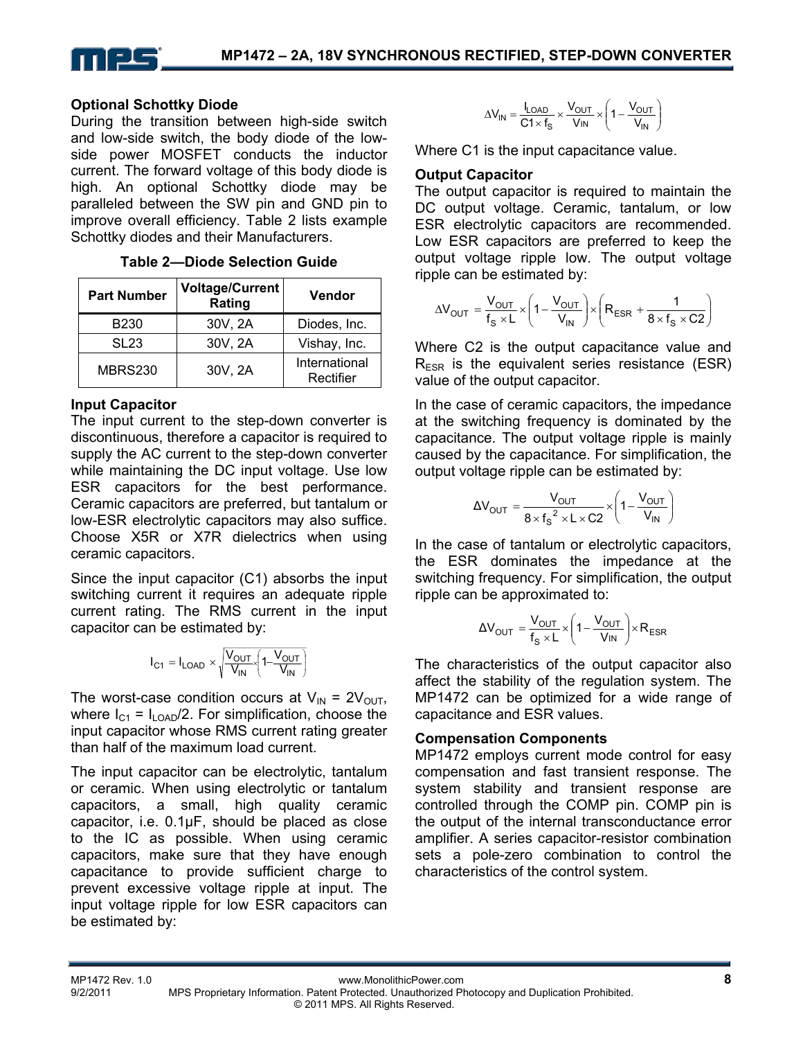

#### **Optional Schottky Diode**

During the transition between high-side switch and low-side switch, the body diode of the lowside power MOSFET conducts the inductor current. The forward voltage of this body diode is high. An optional Schottky diode may be paralleled between the SW pin and GND pin to improve overall efficiency. Table 2 lists example Schottky diodes and their Manufacturers.

| Table 2-Diode Selection Guide |
|-------------------------------|
|-------------------------------|

| <b>Part Number</b> | <b>Voltage/Current</b><br>Rating | <b>Vendor</b>              |
|--------------------|----------------------------------|----------------------------|
| B <sub>230</sub>   | 30V, 2A                          | Diodes, Inc.               |
| <b>SL23</b>        | 30V, 2A                          | Vishay, Inc.               |
| <b>MBRS230</b>     | 30V, 2A                          | International<br>Rectifier |

#### **Input Capacitor**

The input current to the step-down converter is discontinuous, therefore a capacitor is required to supply the AC current to the step-down converter while maintaining the DC input voltage. Use low ESR capacitors for the best performance. Ceramic capacitors are preferred, but tantalum or low-ESR electrolytic capacitors may also suffice. Choose X5R or X7R dielectrics when using ceramic capacitors.

Since the input capacitor (C1) absorbs the input switching current it requires an adequate ripple current rating. The RMS current in the input capacitor can be estimated by:

$$
I_{C1} = I_{LOAD} \times \sqrt{\frac{V_{OUT}}{V_{IN}} \left(1 - \frac{V_{OUT}}{V_{IN}}\right)}
$$

The worst-case condition occurs at  $V_{IN} = 2V_{OUT}$ , where  $I_{C1} = I_{LOAD}/2$ . For simplification, choose the input capacitor whose RMS current rating greater than half of the maximum load current.

The input capacitor can be electrolytic, tantalum or ceramic. When using electrolytic or tantalum capacitors, a small, high quality ceramic capacitor, i.e. 0.1μF, should be placed as close to the IC as possible. When using ceramic capacitors, make sure that they have enough capacitance to provide sufficient charge to prevent excessive voltage ripple at input. The input voltage ripple for low ESR capacitors can be estimated by:

$$
\Delta V_{IN} = \frac{I_{LOAD}}{C1 \times f_S} \times \frac{V_{OUT}}{V_{IN}} \times \left(1 - \frac{V_{OUT}}{V_{IN}}\right)
$$

Where C1 is the input capacitance value.

#### **Output Capacitor**

The output capacitor is required to maintain the DC output voltage. Ceramic, tantalum, or low ESR electrolytic capacitors are recommended. Low ESR capacitors are preferred to keep the output voltage ripple low. The output voltage ripple can be estimated by:

$$
\Delta V_{\text{OUT}} = \frac{V_{\text{OUT}}}{f_{\text{S}} \times L} \times \left(1 - \frac{V_{\text{OUT}}}{V_{\text{IN}}}\right) \times \left(R_{\text{ESR}} + \frac{1}{8 \times f_{\text{S}} \times C2}\right)
$$

Where C2 is the output capacitance value and  $R<sub>FSR</sub>$  is the equivalent series resistance (ESR) value of the output capacitor.

In the case of ceramic capacitors, the impedance at the switching frequency is dominated by the capacitance. The output voltage ripple is mainly caused by the capacitance. For simplification, the output voltage ripple can be estimated by:

$$
\Delta V_{\text{OUT}} = \frac{V_{\text{OUT}}}{8 \times f_{\text{S}}^2 \times L \times C2} \times \left(1 - \frac{V_{\text{OUT}}}{V_{\text{IN}}}\right)
$$

In the case of tantalum or electrolytic capacitors, the ESR dominates the impedance at the switching frequency. For simplification, the output ripple can be approximated to:

$$
\Delta V_{\text{OUT}} = \frac{V_{\text{OUT}}}{f_{\text{S}} \times L} \times \left(1 - \frac{V_{\text{OUT}}}{V_{\text{IN}}}\right) \times R_{\text{ESR}}
$$

The characteristics of the output capacitor also affect the stability of the regulation system. The MP1472 can be optimized for a wide range of capacitance and ESR values.

#### **Compensation Components**

MP1472 employs current mode control for easy compensation and fast transient response. The system stability and transient response are controlled through the COMP pin. COMP pin is the output of the internal transconductance error amplifier. A series capacitor-resistor combination sets a pole-zero combination to control the characteristics of the control system.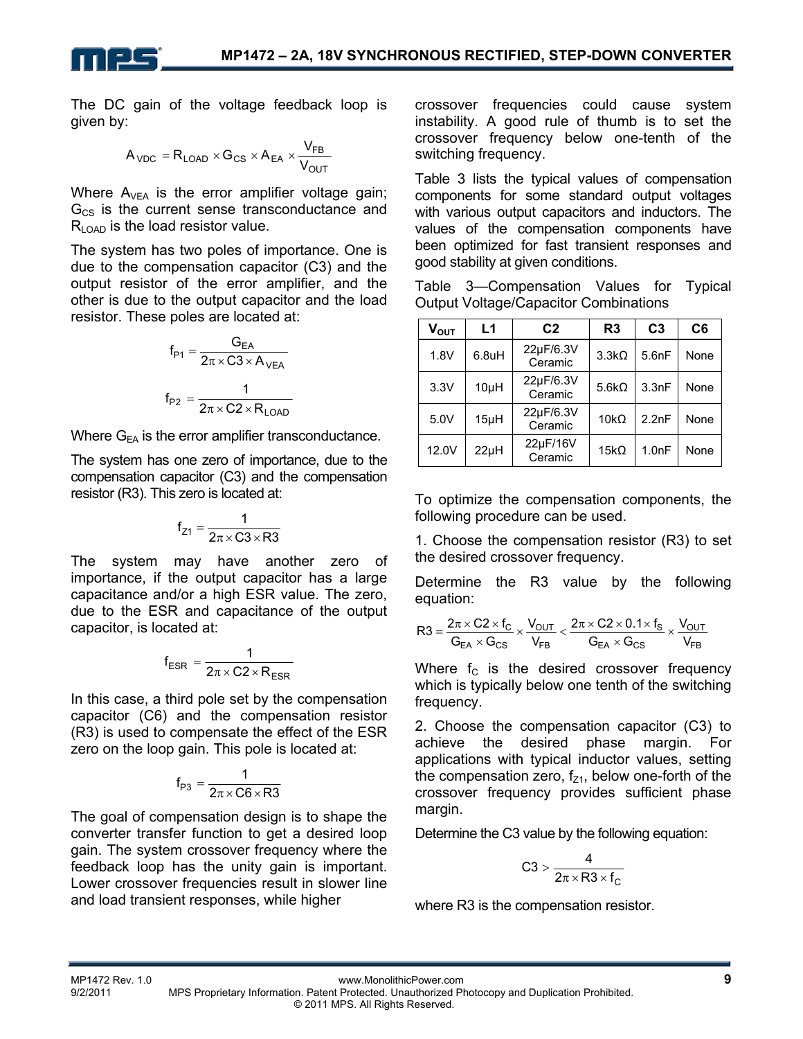

The DC gain of the voltage feedback loop is given by:

$$
A_{\text{VDC}} = R_{\text{LOAD}} \times G_{\text{CS}} \times A_{\text{EA}} \times \frac{V_{\text{FB}}}{V_{\text{OUT}}}
$$

Where  $A_{VEA}$  is the error amplifier voltage gain;  $G_{CS}$  is the current sense transconductance and  $R_{\text{LOAD}}$  is the load resistor value.

The system has two poles of importance. One is due to the compensation capacitor (C3) and the output resistor of the error amplifier, and the other is due to the output capacitor and the load resistor. These poles are located at:

$$
f_{P1} = \frac{G_{EA}}{2\pi \times C3 \times A_{VEA}}
$$

$$
f_{P2} = \frac{1}{2\pi \times C2 \times R_{LOAD}}
$$

Where  $G_{FA}$  is the error amplifier transconductance.

The system has one zero of importance, due to the compensation capacitor (C3) and the compensation resistor (R3). This zero is located at:

$$
f_{Z1}=\frac{1}{2\pi\times C3\times R3}
$$

The system may have another zero of importance, if the output capacitor has a large capacitance and/or a high ESR value. The zero, due to the ESR and capacitance of the output capacitor, is located at:

$$
f_{ESR} = \frac{1}{2\pi \times C2 \times R_{ESR}}
$$

In this case, a third pole set by the compensation capacitor (C6) and the compensation resistor (R3) is used to compensate the effect of the ESR zero on the loop gain. This pole is located at:

$$
f_{P3}=\frac{1}{2\pi\times C6\times R3}
$$

The goal of compensation design is to shape the converter transfer function to get a desired loop gain. The system crossover frequency where the feedback loop has the unity gain is important. Lower crossover frequencies result in slower line and load transient responses, while higher

crossover frequencies could cause system instability. A good rule of thumb is to set the crossover frequency below one-tenth of the switching frequency.

Table 3 lists the typical values of compensation components for some standard output voltages with various output capacitors and inductors. The values of the compensation components have been optimized for fast transient responses and good stability at given conditions.

Table 3—Compensation Values for Typical Output Voltage/Capacitor Combinations

| $\mathsf{V}_{\mathsf{OUT}}$ | L1                               | C <sub>2</sub>       | R <sub>3</sub> | C <sub>3</sub> | C <sub>6</sub> |
|-----------------------------|----------------------------------|----------------------|----------------|----------------|----------------|
| 1.8V                        | $6.8$ uH                         | 22µF/6.3V<br>Ceramic | $3.3k\Omega$   | 5.6nF          | None           |
| 3.3V                        | 10µH                             | 22µF/6.3V<br>Ceramic | $5.6k\Omega$   | 3.3nF          | None           |
| 5.0V                        | $15\mu$ H                        | 22µF/6.3V<br>Ceramic | $10k\Omega$    | 2.2nF          | None           |
| 12.0V                       | 22µF/16V<br>$22\mu H$<br>Ceramic |                      | $15k\Omega$    | 1.0nF          | None           |

To optimize the compensation components, the following procedure can be used.

1. Choose the compensation resistor (R3) to set the desired crossover frequency.

Determine the R3 value by the following equation:

$$
R3=\frac{2\pi\times C2\times f_C}{G_{EA}\times G_{CS}}\times\frac{V_{OUT}}{V_{FB}}<\frac{2\pi\times C2\times 0.1\times f_S}{G_{EA}\times G_{CS}}\times\frac{V_{OUT}}{V_{FB}}
$$

Where  $f_c$  is the desired crossover frequency which is typically below one tenth of the switching frequency.

2. Choose the compensation capacitor (C3) to achieve the desired phase margin. For applications with typical inductor values, setting the compensation zero,  $f_{Z1}$ , below one-forth of the crossover frequency provides sufficient phase margin.

Determine the C3 value by the following equation:

$$
C3 > \frac{4}{2\pi \times R3 \times f_C}
$$

where R3 is the compensation resistor.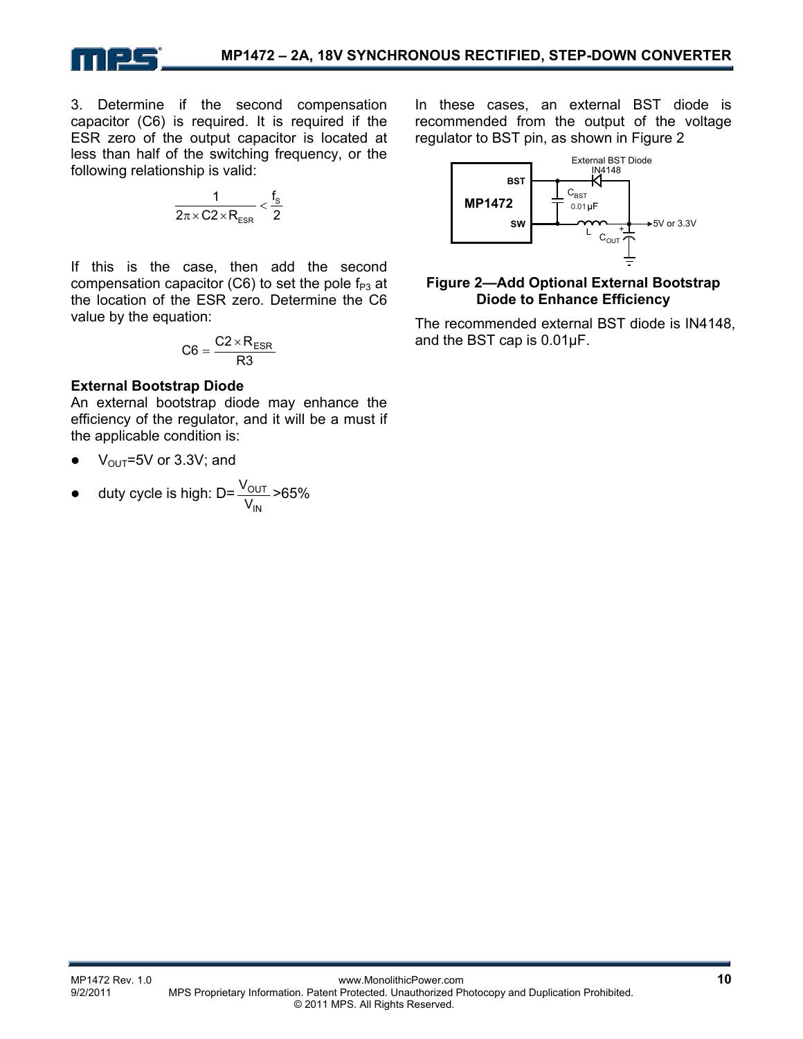

3. Determine if the second compensation capacitor (C6) is required. It is required if the ESR zero of the output capacitor is located at less than half of the switching frequency, or the following relationship is valid:

$$
\frac{1}{2\pi \times C2 \times R_{\text{ESR}}} < \frac{f_s}{2}
$$

If this is the case, then add the second compensation capacitor (C6) to set the pole  $f_{P3}$  at the location of the ESR zero. Determine the C6 value by the equation:

$$
C6 = \frac{C2 \times R_{ESR}}{R3}
$$

#### **External Bootstrap Diode**

An external bootstrap diode may enhance the efficiency of the regulator, and it will be a must if the applicable condition is:

- $V_{\text{OUT}}$ =5V or 3.3V; and
- duty cycle is high: D= IN OUT  $\frac{\rm V_{OUT}}{\rm V_{IN}}$ >65%

In these cases, an external BST diode is recommended from the output of the voltage regulator to BST pin, as shown in Figure 2



#### **Figure 2—Add Optional External Bootstrap Diode to Enhance Efficiency**

The recommended external BST diode is IN4148, and the BST cap is 0.01µF.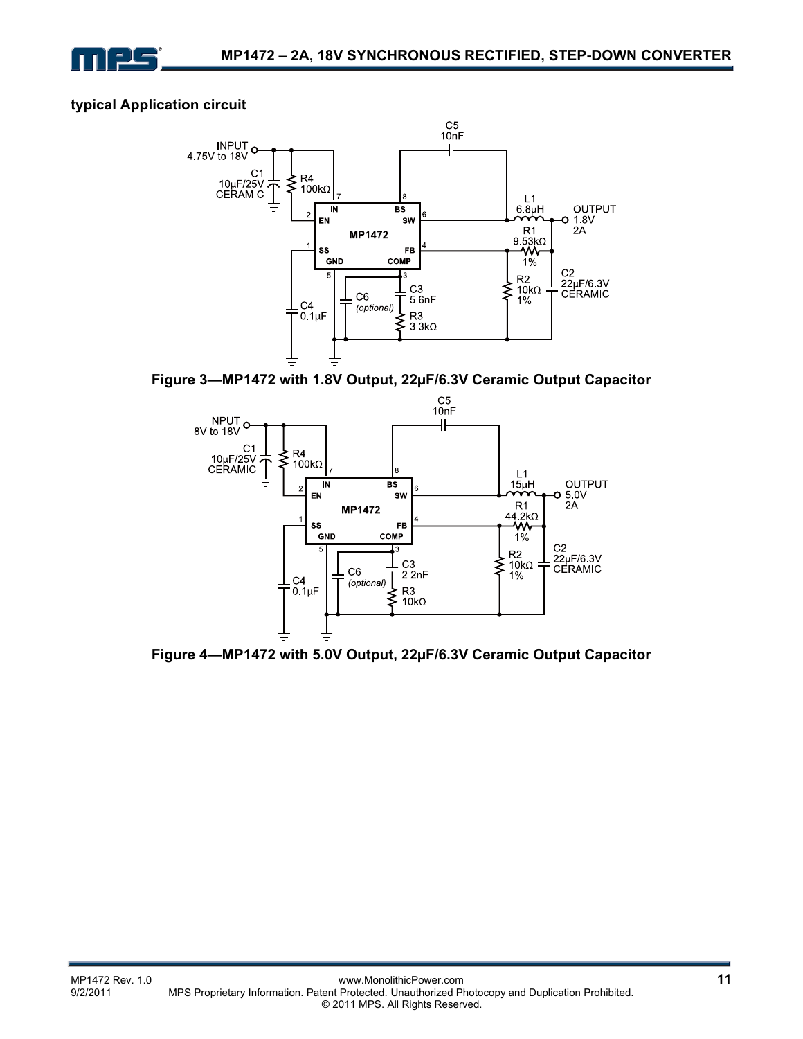

#### **typical Application circuit**



**Figure 3—MP1472 with 1.8V Output, 22µF/6.3V Ceramic Output Capacitor** 



**Figure 4—MP1472 with 5.0V Output, 22µF/6.3V Ceramic Output Capacitor**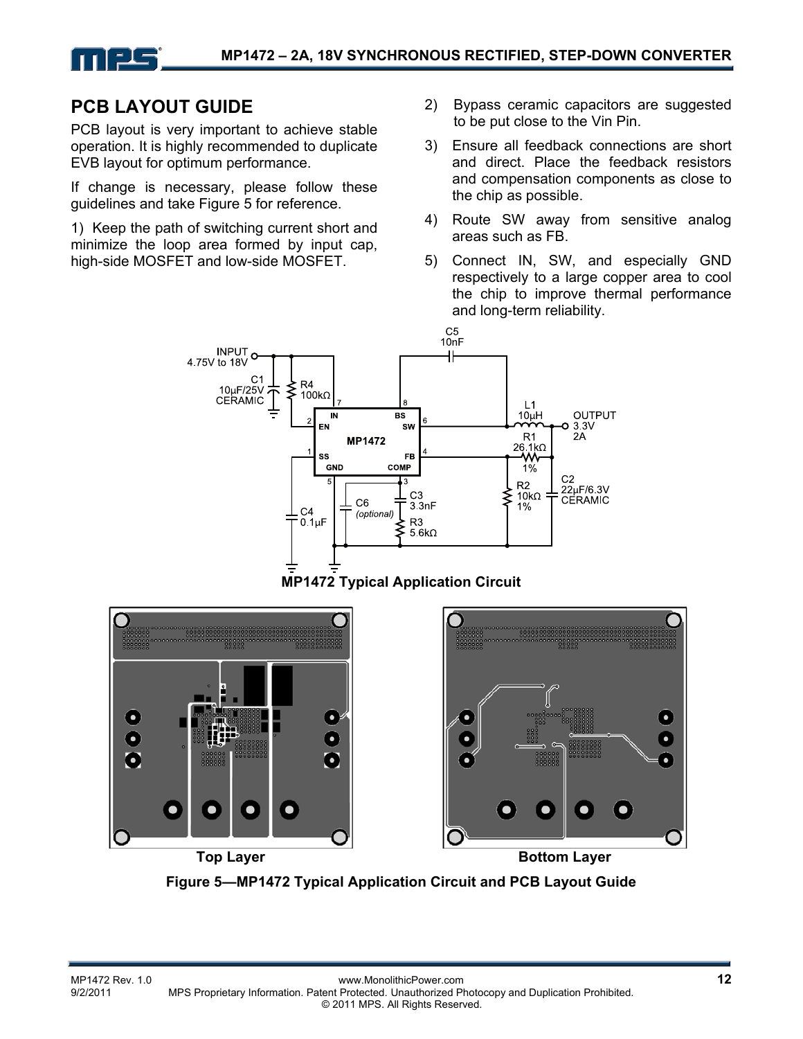

# **PCB LAYOUT GUIDE**

PCB layout is very important to achieve stable operation. It is highly recommended to duplicate EVB layout for optimum performance.

If change is necessary, please follow these guidelines and take Figure 5 for reference.

1) Keep the path of switching current short and minimize the loop area formed by input cap, high-side MOSFET and low-side MOSFET.

- 2) Bypass ceramic capacitors are suggested to be put close to the Vin Pin.
- 3) Ensure all feedback connections are short and direct. Place the feedback resistors and compensation components as close to the chip as possible.
- 4) Route SW away from sensitive analog areas such as FB.
- 5) Connect IN, SW, and especially GND respectively to a large copper area to cool the chip to improve thermal performance and long-term reliability.







**Figure 5—MP1472 Typical Application Circuit and PCB Layout Guide**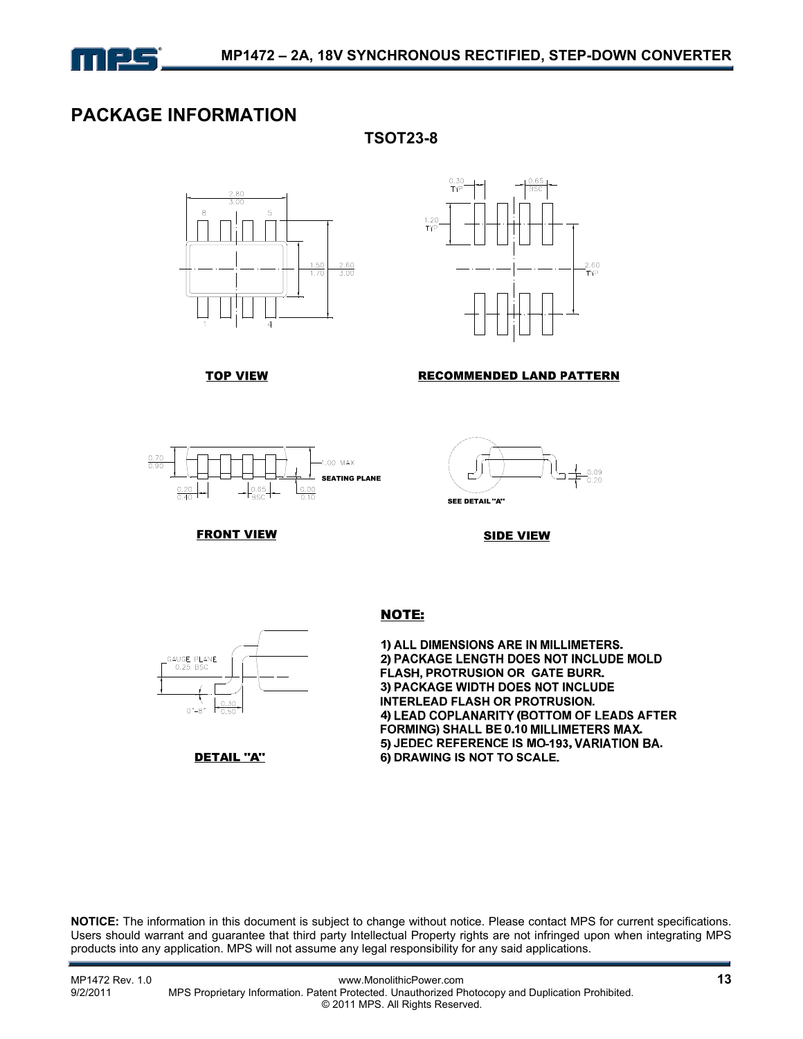

### **PACKAGE INFORMATION**

**TSOT23-8** 





#### **RECOMMENDED LAND PATTERN**



**TOP VIEW** 



**SIDE VIEW** 



**FRONT VIEW** 

DETAIL "A"

#### **NOTE:**

1) ALL DIMENSIONS ARE IN MILLIMETERS. 2) PACKAGE LENGTH DOES NOT INCLUDE MOLD FLASH, PROTRUSION OR GATE BURR. 3) PACKAGE WIDTH DOES NOT INCLUDE **INTERLEAD FLASH OR PROTRUSION.** 4) LEAD COPLANARITY (BOTTOM OF LEADS AFTER FORMING) SHALL BE 0.10 MILLIMETERS MAX. 5) JEDEC REFERENCE IS MO-193, VARIATION BA. 6) DRAWING IS NOT TO SCALE.

**NOTICE:** The information in this document is subject to change without notice. Please contact MPS for current specifications. Users should warrant and guarantee that third party Intellectual Property rights are not infringed upon when integrating MPS products into any application. MPS will not assume any legal responsibility for any said applications.